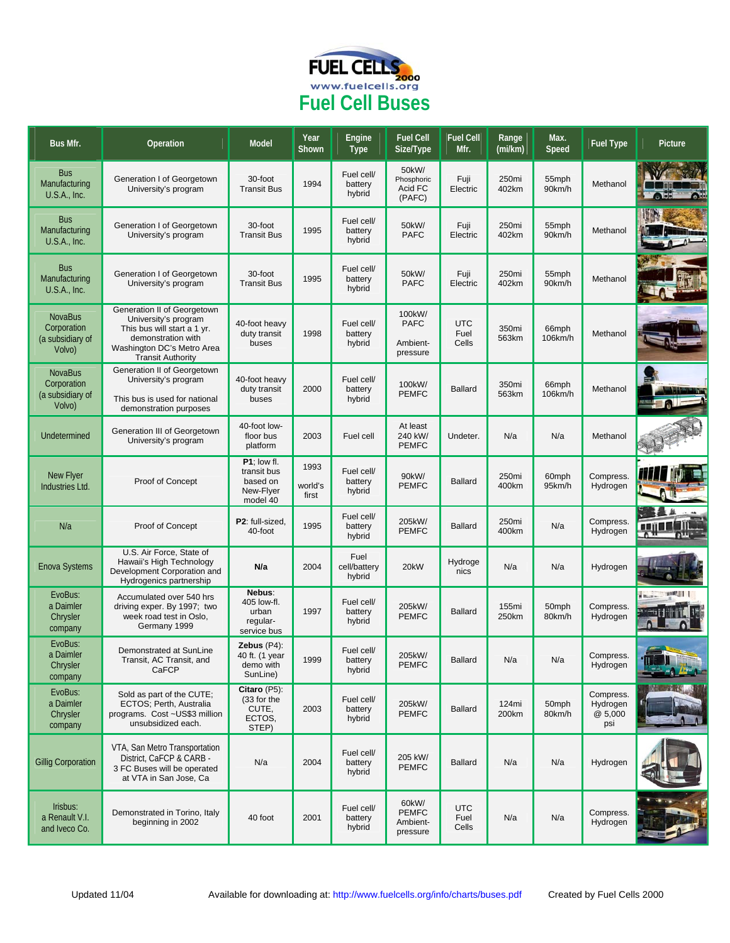

| Bus Mfr.                                                    | Operation                                                                                                                                                          | <b>Model</b>                                                    | Year<br>Shown            | Engine<br><b>Type</b>           | <b>Fuel Cell</b><br>Size/Type                 | <b>Fuel Cell</b><br>Mfr.    | Range<br>(mi/km) | Max.<br>Speed    | <b>Fuel Type</b>                       | Picture               |
|-------------------------------------------------------------|--------------------------------------------------------------------------------------------------------------------------------------------------------------------|-----------------------------------------------------------------|--------------------------|---------------------------------|-----------------------------------------------|-----------------------------|------------------|------------------|----------------------------------------|-----------------------|
| <b>Bus</b><br>Manufacturing<br>U.S.A., Inc.                 | Generation I of Georgetown<br>University's program                                                                                                                 | 30-foot<br><b>Transit Bus</b>                                   | 1994                     | Fuel cell/<br>battery<br>hybrid | 50kW/<br>Phosphoric<br>Acid FC<br>(PAFC)      | Fuji<br>Electric            | 250mi<br>402km   | 55mph<br>90km/h  | Methanol                               |                       |
| <b>Bus</b><br>Manufacturing<br>U.S.A., Inc.                 | Generation I of Georgetown<br>University's program                                                                                                                 | 30-foot<br><b>Transit Bus</b>                                   | 1995                     | Fuel cell/<br>battery<br>hybrid | 50kW/<br><b>PAFC</b>                          | Fuji<br>Electric            | 250mi<br>402km   | 55mph<br>90km/h  | Methanol                               |                       |
| <b>Bus</b><br>Manufacturing<br>U.S.A., Inc.                 | Generation I of Georgetown<br>University's program                                                                                                                 | 30-foot<br><b>Transit Bus</b>                                   | 1995                     | Fuel cell/<br>battery<br>hybrid | 50kW/<br><b>PAFC</b>                          | Fuji<br>Electric            | 250mi<br>402km   | 55mph<br>90km/h  | Methanol                               |                       |
| <b>NovaBus</b><br>Corporation<br>(a subsidiary of<br>Volvo) | Generation II of Georgetown<br>University's program<br>This bus will start a 1 yr.<br>demonstration with<br>Washington DC's Metro Area<br><b>Transit Authority</b> | 40-foot heavy<br>duty transit<br>buses                          | 1998                     | Fuel cell/<br>battery<br>hybrid | 100kW/<br><b>PAFC</b><br>Ambient-<br>pressure | <b>UTC</b><br>Fuel<br>Cells | 350mi<br>563km   | 66mph<br>106km/h | Methanol                               |                       |
| <b>NovaBus</b><br>Corporation<br>(a subsidiary of<br>Volvo) | Generation II of Georgetown<br>University's program<br>This bus is used for national<br>demonstration purposes                                                     | 40-foot heavy<br>duty transit<br>buses                          | 2000                     | Fuel cell/<br>battery<br>hybrid | 100kW/<br><b>PEMFC</b>                        | <b>Ballard</b>              | 350mi<br>563km   | 66mph<br>106km/h | Methanol                               |                       |
| Undetermined                                                | Generation III of Georgetown<br>University's program                                                                                                               | 40-foot low-<br>floor bus<br>platform                           | 2003                     | Fuel cell                       | At least<br>240 kW/<br><b>PEMFC</b>           | Undeter.                    | N/a              | N/a              | Methanol                               |                       |
| New Flyer<br>Industries Ltd.                                | Proof of Concept                                                                                                                                                   | P1; low fl.<br>transit bus<br>based on<br>New-Flyer<br>model 40 | 1993<br>world's<br>first | Fuel cell/<br>battery<br>hybrid | 90kW/<br><b>PEMFC</b>                         | <b>Ballard</b>              | 250mi<br>400km   | 60mph<br>95km/h  | Compress.<br>Hydrogen                  |                       |
| N/a                                                         | Proof of Concept                                                                                                                                                   | P2: full-sized,<br>40-foot                                      | 1995                     | Fuel cell/<br>battery<br>hybrid | 205kW/<br><b>PEMFC</b>                        | <b>Ballard</b>              | 250mi<br>400km   | N/a              | Compress.<br>Hydrogen                  |                       |
| <b>Enova Systems</b>                                        | U.S. Air Force, State of<br>Hawaii's High Technology<br>Development Corporation and<br>Hydrogenics partnership                                                     | N/a                                                             | 2004                     | Fuel<br>cell/battery<br>hybrid  | 20kW                                          | Hydroge<br>nics             | N/a              | N/a              | Hydrogen                               |                       |
| EvoBus:<br>a Daimler<br>Chrysler<br>company                 | Accumulated over 540 hrs<br>driving exper. By 1997; two<br>week road test in Oslo,<br>Germany 1999                                                                 | Nebus:<br>405 low-fl.<br>urban<br>regular-<br>service bus       | 1997                     | Fuel cell/<br>battery<br>hybrid | 205kW/<br><b>PEMFC</b>                        | <b>Ballard</b>              | 155mi<br>250km   | 50mph<br>80km/h  | Compress.<br>Hydrogen                  | 11147311<br>in market |
| EvoBus:<br>a Daimler<br>Chrysler<br>company                 | Demonstrated at SunLine<br>Fransit, AC Fransit, and<br>CaFCP                                                                                                       | Zebus $(P4)$ :<br>40 ft. (1 year<br>demo with<br>SunLine)       | 1999                     | Fuel cell/<br>paπery<br>hybrid  | 205kW/<br><b>PEMFC</b>                        | <b>Ballard</b>              | N/a              | N/a              | Compress.<br>Hydrogen                  | 52                    |
| EvoBus:<br>a Daimler<br>Chrysler<br>company                 | Sold as part of the CUTE;<br>ECTOS; Perth, Australia<br>programs. Cost ~US\$3 million<br>unsubsidized each.                                                        | Citaro (P5):<br>(33 for the<br>CUTE,<br>ECTOS,<br>STEP)         | 2003                     | Fuel cell/<br>battery<br>hybrid | 205kW/<br><b>PEMFC</b>                        | <b>Ballard</b>              | 124mi<br>200km   | 50mph<br>80km/h  | Compress.<br>Hydrogen<br>@5,000<br>psi |                       |
| <b>Gillig Corporation</b>                                   | VTA, San Metro Transportation<br>District, CaFCP & CARB -<br>3 FC Buses will be operated<br>at VTA in San Jose, Ca                                                 | N/a                                                             | 2004                     | Fuel cell/<br>battery<br>hybrid | 205 kW/<br><b>PEMFC</b>                       | <b>Ballard</b>              | N/a              | N/a              | Hydrogen                               |                       |
| Irisbus:<br>a Renault V.I.<br>and Iveco Co.                 | Demonstrated in Torino, Italy<br>beginning in 2002                                                                                                                 | 40 foot                                                         | 2001                     | Fuel cell/<br>battery<br>hybrid | 60kW/<br><b>PEMFC</b><br>Ambient-<br>pressure | <b>UTC</b><br>Fuel<br>Cells | N/a              | N/a              | Compress.<br>Hydrogen                  |                       |